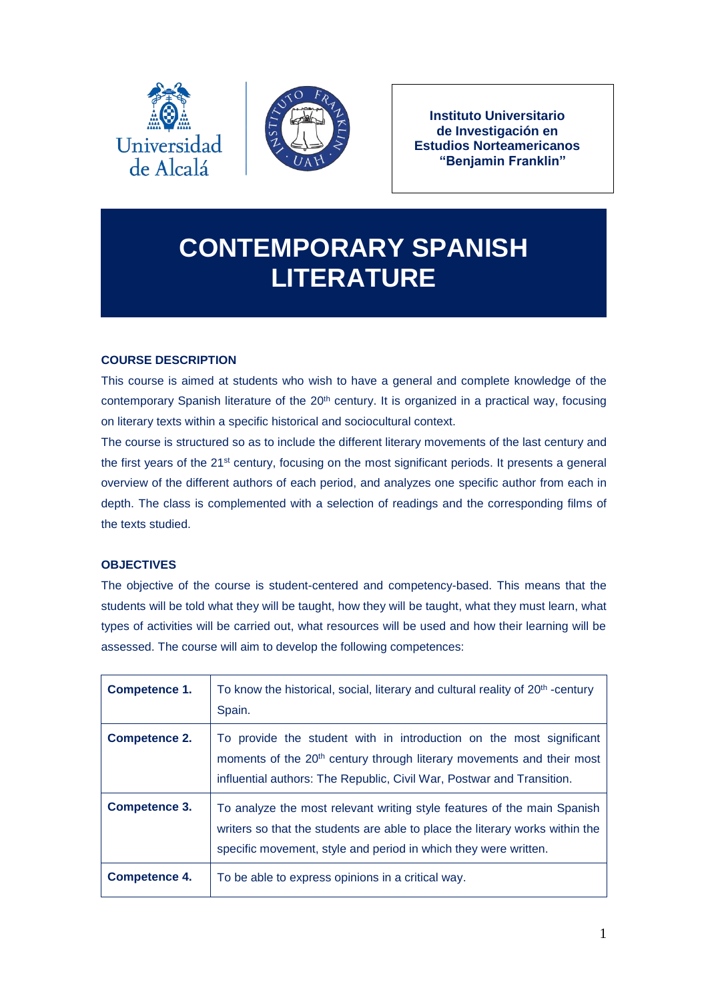



**Instituto Universitario de Investigación en Estudios Norteamericanos "Benjamin Franklin"**

# **CONTEMPORARY SPANISH LITERATURE**

# **COURSE DESCRIPTION**

This course is aimed at students who wish to have a general and complete knowledge of the contemporary Spanish literature of the 20<sup>th</sup> century. It is organized in a practical way, focusing on literary texts within a specific historical and sociocultural context.

The course is structured so as to include the different literary movements of the last century and the first years of the 21<sup>st</sup> century, focusing on the most significant periods. It presents a general overview of the different authors of each period, and analyzes one specific author from each in depth. The class is complemented with a selection of readings and the corresponding films of the texts studied.

# **OBJECTIVES**

The objective of the course is student-centered and competency-based. This means that the students will be told what they will be taught, how they will be taught, what they must learn, what types of activities will be carried out, what resources will be used and how their learning will be assessed. The course will aim to develop the following competences:

| Competence 1.        | To know the historical, social, literary and cultural reality of 20 <sup>th</sup> -century<br>Spain.                                                                                                                              |  |
|----------------------|-----------------------------------------------------------------------------------------------------------------------------------------------------------------------------------------------------------------------------------|--|
| <b>Competence 2.</b> | To provide the student with in introduction on the most significant<br>moments of the 20 <sup>th</sup> century through literary movements and their most<br>influential authors: The Republic, Civil War, Postwar and Transition. |  |
| <b>Competence 3.</b> | To analyze the most relevant writing style features of the main Spanish<br>writers so that the students are able to place the literary works within the<br>specific movement, style and period in which they were written.        |  |
| Competence 4.        | To be able to express opinions in a critical way.                                                                                                                                                                                 |  |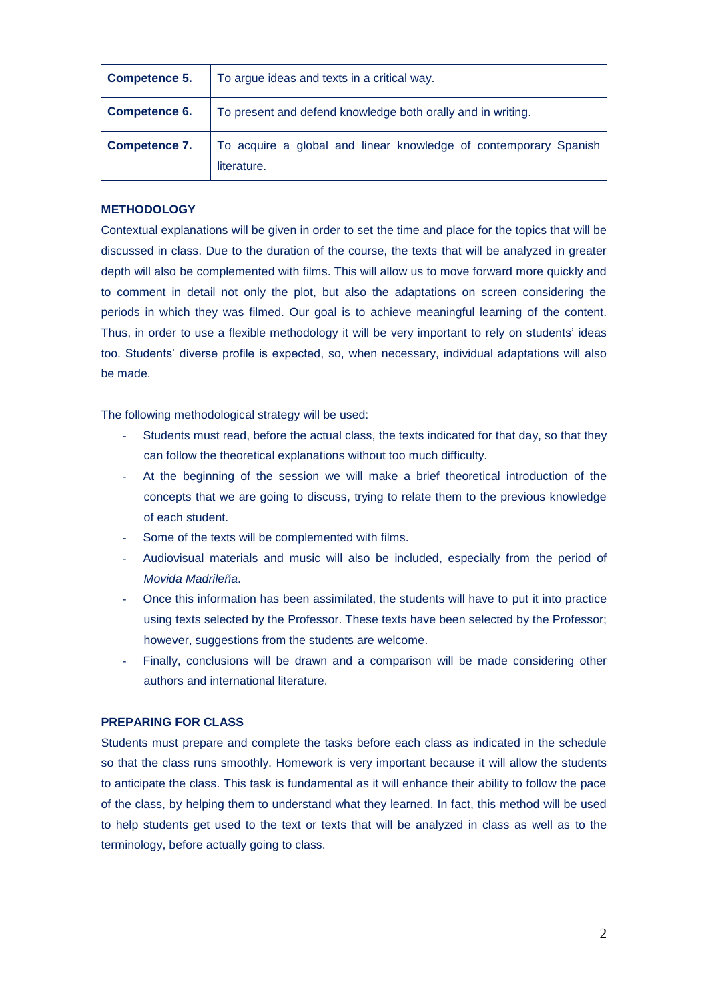| <b>Competence 5.</b> | To argue ideas and texts in a critical way.                                     |  |  |
|----------------------|---------------------------------------------------------------------------------|--|--|
| <b>Competence 6.</b> | To present and defend knowledge both orally and in writing.                     |  |  |
| <b>Competence 7.</b> | To acquire a global and linear knowledge of contemporary Spanish<br>literature. |  |  |

## **METHODOLOGY**

Contextual explanations will be given in order to set the time and place for the topics that will be discussed in class. Due to the duration of the course, the texts that will be analyzed in greater depth will also be complemented with films. This will allow us to move forward more quickly and to comment in detail not only the plot, but also the adaptations on screen considering the periods in which they was filmed. Our goal is to achieve meaningful learning of the content. Thus, in order to use a flexible methodology it will be very important to rely on students' ideas too. Students' diverse profile is expected, so, when necessary, individual adaptations will also be made.

The following methodological strategy will be used:

- Students must read, before the actual class, the texts indicated for that day, so that they can follow the theoretical explanations without too much difficulty.
- At the beginning of the session we will make a brief theoretical introduction of the concepts that we are going to discuss, trying to relate them to the previous knowledge of each student.
- Some of the texts will be complemented with films.
- Audiovisual materials and music will also be included, especially from the period of *Movida Madrileña*.
- Once this information has been assimilated, the students will have to put it into practice using texts selected by the Professor. These texts have been selected by the Professor; however, suggestions from the students are welcome.
- Finally, conclusions will be drawn and a comparison will be made considering other authors and international literature.

# **PREPARING FOR CLASS**

Students must prepare and complete the tasks before each class as indicated in the schedule so that the class runs smoothly. Homework is very important because it will allow the students to anticipate the class. This task is fundamental as it will enhance their ability to follow the pace of the class, by helping them to understand what they learned. In fact, this method will be used to help students get used to the text or texts that will be analyzed in class as well as to the terminology, before actually going to class.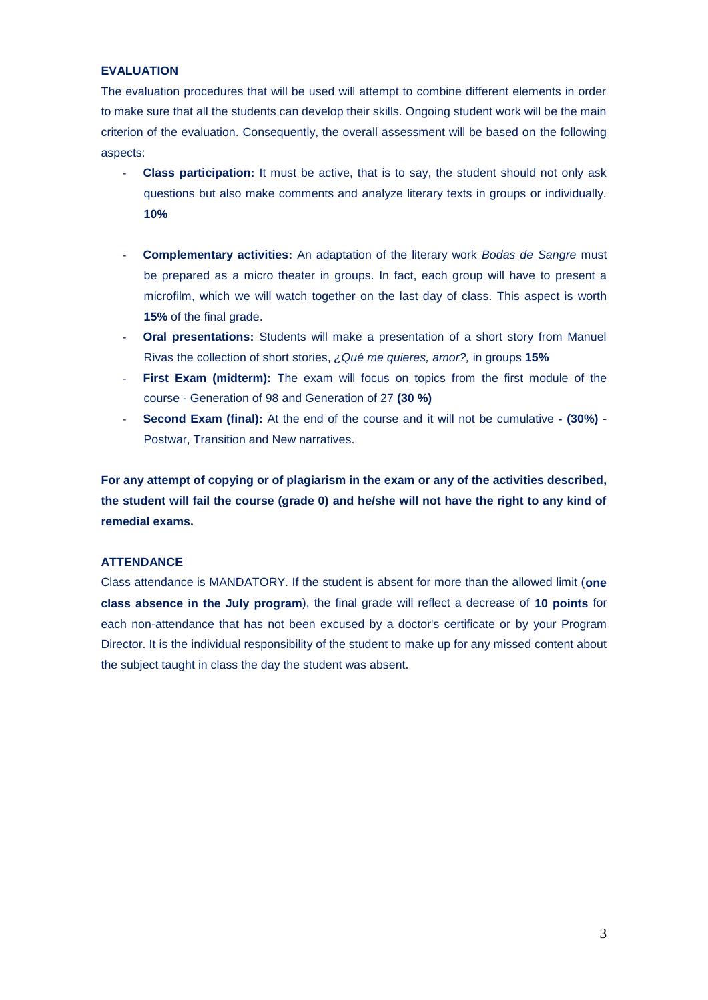# **EVALUATION**

The evaluation procedures that will be used will attempt to combine different elements in order to make sure that all the students can develop their skills. Ongoing student work will be the main criterion of the evaluation. Consequently, the overall assessment will be based on the following aspects:

- **Class participation:** It must be active, that is to say, the student should not only ask questions but also make comments and analyze literary texts in groups or individually. **10%**
- **Complementary activities:** An adaptation of the literary work *Bodas de Sangre* must be prepared as a micro theater in groups. In fact, each group will have to present a microfilm, which we will watch together on the last day of class. This aspect is worth **15%** of the final grade.
- **Oral presentations:** Students will make a presentation of a short story from Manuel Rivas the collection of short stories, *¿Qué me quieres, amor?,* in groups **15%**
- First Exam (midterm): The exam will focus on topics from the first module of the course - Generation of 98 and Generation of 27 **(30 %)**
- **Second Exam (final):** At the end of the course and it will not be cumulative **- (30%)** Postwar, Transition and New narratives.

**For any attempt of copying or of plagiarism in the exam or any of the activities described, the student will fail the course (grade 0) and he/she will not have the right to any kind of remedial exams.**

#### **ATTENDANCE**

Class attendance is MANDATORY. If the student is absent for more than the allowed limit (**one class absence in the July program**), the final grade will reflect a decrease of **10 points** for each non-attendance that has not been excused by a doctor's certificate or by your Program Director. It is the individual responsibility of the student to make up for any missed content about the subject taught in class the day the student was absent.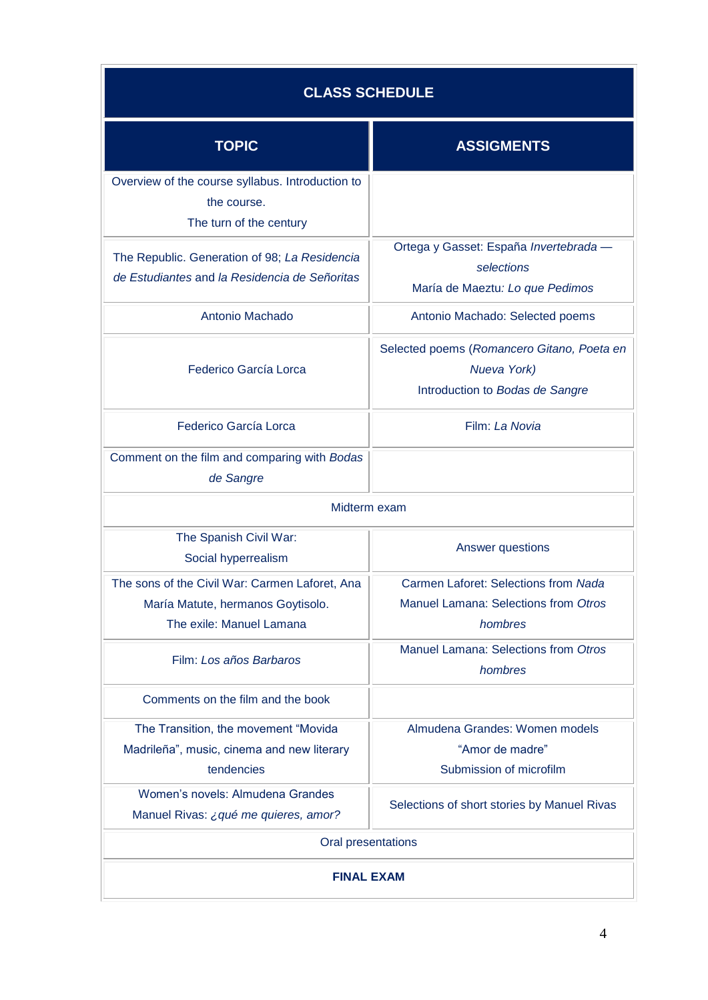| <b>CLASS SCHEDULE</b>                                                                                           |                                                                                              |  |  |
|-----------------------------------------------------------------------------------------------------------------|----------------------------------------------------------------------------------------------|--|--|
| <b>TOPIC</b>                                                                                                    | <b>ASSIGMENTS</b>                                                                            |  |  |
| Overview of the course syllabus. Introduction to<br>the course.<br>The turn of the century                      |                                                                                              |  |  |
| The Republic. Generation of 98; La Residencia<br>de Estudiantes and la Residencia de Señoritas                  | Ortega y Gasset: España Invertebrada -<br>selections<br>María de Maeztu: Lo que Pedimos      |  |  |
| Antonio Machado                                                                                                 | Antonio Machado: Selected poems                                                              |  |  |
| Federico García Lorca                                                                                           | Selected poems (Romancero Gitano, Poeta en<br>Nueva York)<br>Introduction to Bodas de Sangre |  |  |
| Federico García Lorca                                                                                           | Film: La Novia                                                                               |  |  |
| Comment on the film and comparing with Bodas<br>de Sangre                                                       |                                                                                              |  |  |
| Midterm exam                                                                                                    |                                                                                              |  |  |
| The Spanish Civil War:<br>Social hyperrealism                                                                   | Answer questions                                                                             |  |  |
| The sons of the Civil War: Carmen Laforet, Ana<br>María Matute, hermanos Goytisolo.<br>The exile: Manuel Lamana | Carmen Laforet: Selections from Nada<br>Manuel Lamana: Selections from Otros<br>hombres      |  |  |
| Film: Los años Barbaros                                                                                         | Manuel Lamana: Selections from Otros<br>hombres                                              |  |  |
| Comments on the film and the book                                                                               |                                                                                              |  |  |
| The Transition, the movement "Movida<br>Madrileña", music, cinema and new literary<br>tendencies                | Almudena Grandes: Women models<br>"Amor de madre"<br>Submission of microfilm                 |  |  |
| Women's novels: Almudena Grandes<br>Manuel Rivas: ¿ qué me quieres, amor?                                       | Selections of short stories by Manuel Rivas                                                  |  |  |
| Oral presentations                                                                                              |                                                                                              |  |  |
| <b>FINAL EXAM</b>                                                                                               |                                                                                              |  |  |